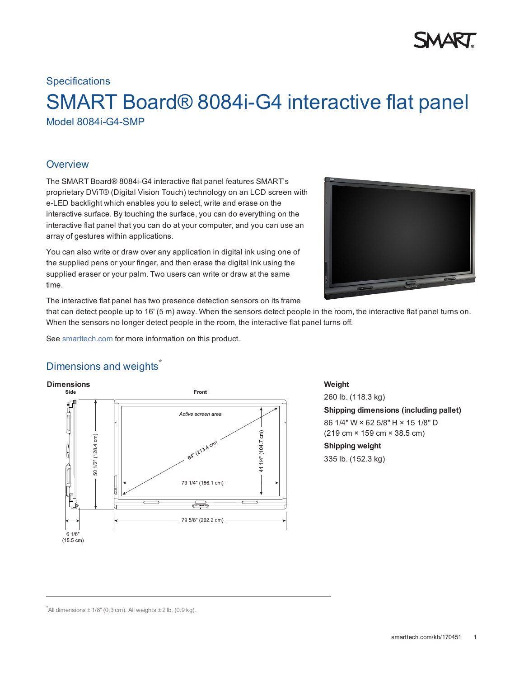#### **Specifications**

# SMART Board® 8084i-G4 interactive flat panel Model 8084i-G4-SMP

#### **Overview**

The SMART Board® 8084i-G4 interactive flat panel features SMART's proprietary DViT® (Digital Vision Touch) technology on an LCD screen with e-LED backlight which enables you to select, write and erase on the interactive surface. By touching the surface, you can do everything on the interactive flat panel that you can do at your computer, and you can use an array of gestures within applications.

You can also write or draw over any application in digital ink using one of the supplied pens or your finger, and then erase the digital ink using the supplied eraser or your palm. Two users can write or draw at the same time.



The interactive flat panel has two presence detection sensors on its frame

that can detect people up to 16' (5 m) away. When the sensors detect people in the room, the interactive flat panel turns on. When the sensors no longer detect people in the room, the interactive flat panel turns off.

See [smarttech.com](http://www.smarttech.com/Solutions/Business+Solutions/Products/8000+series+interactive+flat+panels) for more information on this product.

## Dimensions and weights<sup>\*</sup>



260 lb. (118.3 kg) **Shipping dimensions (including pallet)** 86 1/4" W × 62 5/8" H × 15 1/8" D (219 cm × 159 cm × 38.5 cm) **Shipping weight** 335 lb. (152.3 kg)

 $^*$ All dimensions  $\pm$  1/8" (0.3 cm). All weights  $\pm$  2 lb. (0.9 kg).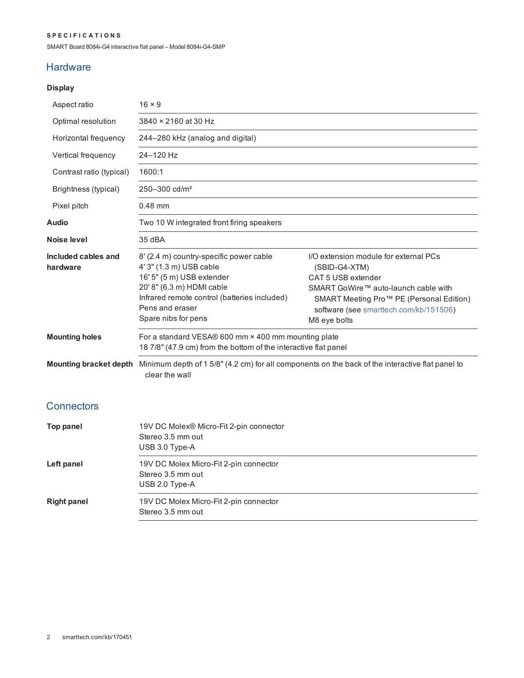#### **S P E C I F I C A T I O N S**

SMART Board 8084i-G4 interactive flat panel – Model 8084i-G4-SMP

#### **Hardware**

### **Display**

| Aspect ratio                    | $16 \times 9$                                                                                                                                                                                                          |                                                                                                                                                                                                                            |
|---------------------------------|------------------------------------------------------------------------------------------------------------------------------------------------------------------------------------------------------------------------|----------------------------------------------------------------------------------------------------------------------------------------------------------------------------------------------------------------------------|
| Optimal resolution              | 3840 × 2160 at 30 Hz                                                                                                                                                                                                   |                                                                                                                                                                                                                            |
| Horizontal frequency            | 244–280 kHz (analog and digital)                                                                                                                                                                                       |                                                                                                                                                                                                                            |
| Vertical frequency              | 24-120 Hz                                                                                                                                                                                                              |                                                                                                                                                                                                                            |
| Contrast ratio (typical)        | 1600:1                                                                                                                                                                                                                 |                                                                                                                                                                                                                            |
| Brightness (typical)            | 250-300 cd/m <sup>2</sup>                                                                                                                                                                                              |                                                                                                                                                                                                                            |
| Pixel pitch                     | $0.48$ mm                                                                                                                                                                                                              |                                                                                                                                                                                                                            |
| Audio                           | Two 10 W integrated front firing speakers                                                                                                                                                                              |                                                                                                                                                                                                                            |
| <b>Noise level</b>              | 35 dBA                                                                                                                                                                                                                 |                                                                                                                                                                                                                            |
| Included cables and<br>hardware | 8' (2.4 m) country-specific power cable<br>4' 3" (1.3 m) USB cable<br>16' 5" (5 m) USB extender<br>20' 8" (6.3 m) HDMI cable<br>Infrared remote control (batteries included)<br>Pens and eraser<br>Spare nibs for pens | I/O extension module for external PCs<br>(SBID-G4-XTM)<br>CAT 5 USB extender<br>SMART GoWire™ auto-launch cable with<br>SMART Meeting Pro™ PE (Personal Edition)<br>software (see smarttech.com/kb/151506)<br>M8 eye bolts |
| <b>Mounting holes</b>           | For a standard VESA® 600 mm × 400 mm mounting plate<br>18 7/8" (47.9 cm) from the bottom of the interactive flat panel                                                                                                 |                                                                                                                                                                                                                            |
| <b>Mounting bracket depth</b>   | clear the wall                                                                                                                                                                                                         | Minimum depth of 1 5/8" (4.2 cm) for all components on the back of the interactive flat panel to                                                                                                                           |
| Connectors                      |                                                                                                                                                                                                                        |                                                                                                                                                                                                                            |

| Top panel          | 19V DC Molex® Micro-Fit 2-pin connector<br>Stereo 3.5 mm out<br>USB 3.0 Type-A |
|--------------------|--------------------------------------------------------------------------------|
| Left panel         | 19V DC Molex Micro-Fit 2-pin connector<br>Stereo 3.5 mm out<br>USB 2.0 Type-A  |
| <b>Right panel</b> | 19V DC Molex Micro-Fit 2-pin connector<br>Stereo 3.5 mm out                    |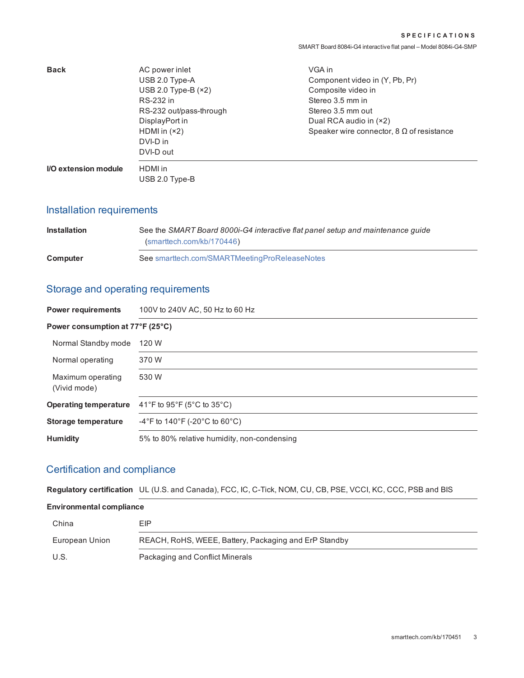| <b>Back</b>                 | AC power inlet            | VGA in                                           |
|-----------------------------|---------------------------|--------------------------------------------------|
|                             | USB 2.0 Type-A            | Component video in (Y, Pb, Pr)                   |
|                             | USB 2.0 Type-B $(x2)$     | Composite video in                               |
|                             | RS-232 in                 | Stereo 3.5 mm in                                 |
|                             | RS-232 out/pass-through   | Stereo 3.5 mm out                                |
|                             | DisplayPort in            | Dual RCA audio in $(x2)$                         |
|                             | HDMI in $(x2)$            | Speaker wire connector, $8 \Omega$ of resistance |
|                             | DVI-D in                  |                                                  |
|                             | DVI-D out                 |                                                  |
| <b>I/O extension module</b> | HDMI in<br>USB 2.0 Type-B |                                                  |

## Installation requirements

| <b>Installation</b> | See the SMART Board 8000i-G4 interactive flat panel setup and maintenance quide<br>(smarttech.com/kb/170446) |  |
|---------------------|--------------------------------------------------------------------------------------------------------------|--|
| Computer            | See smarttech.com/SMARTMeetingProReleaseNotes                                                                |  |

## Storage and operating requirements

| <b>Power requirements</b>         | 100V to 240V AC, 50 Hz to 60 Hz             |  |
|-----------------------------------|---------------------------------------------|--|
| Power consumption at 77°F (25°C)  |                                             |  |
| Normal Standby mode               | 120 W                                       |  |
| Normal operating                  | 370 W                                       |  |
| Maximum operating<br>(Vivid mode) | 530 W                                       |  |
| <b>Operating temperature</b>      | 41°F to 95°F (5°C to 35°C)                  |  |
| <b>Storage temperature</b>        | -4°F to 140°F (-20°C to 60°C)               |  |
| <b>Humidity</b>                   | 5% to 80% relative humidity, non-condensing |  |

## Certification and compliance

**Regulatory certification** UL (U.S. and Canada), FCC, IC, C-Tick, NOM, CU, CB, PSE, VCCI, KC, CCC, PSB and BIS

#### **Environmental compliance**

| China          | EIP                                                   |
|----------------|-------------------------------------------------------|
| European Union | REACH, RoHS, WEEE, Battery, Packaging and ErP Standby |
| U.S.           | Packaging and Conflict Minerals                       |